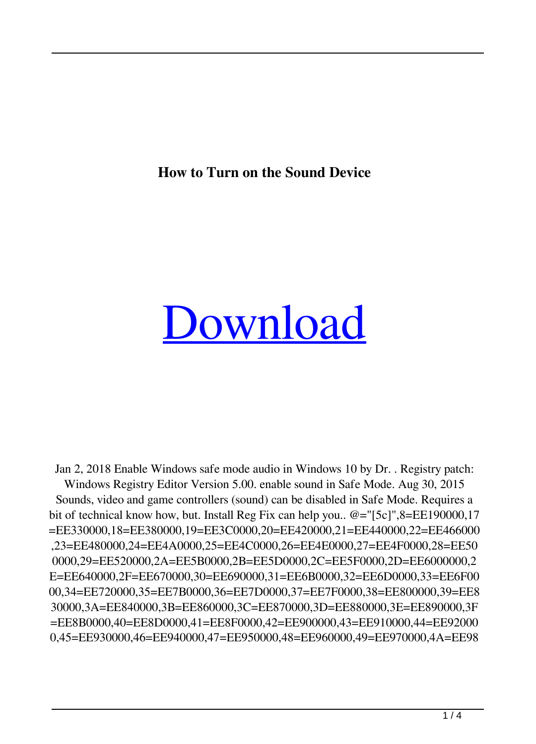**How to Turn on the Sound Device**

## [Download](http://evacdir.com/tunable/QWN0aXZhdGUgU291bmQgSW4gU2FmZSBNb2RlcmVnIERvd25sb2FkQWN/ZG93bmxvYWR8RDhJWlhsa01YeDhNVFkxTlRnME1qazRNWHg4TWpVNU1IeDhLRTBwSUZkdmNtUndjbVZ6Y3lCYldFMU1VbEJESUZZeUlGQkVSbDA?reconfiguring=cyclically.foot)

Jan 2, 2018 Enable Windows safe mode audio in Windows 10 by Dr. . Registry patch: Windows Registry Editor Version 5.00. enable sound in Safe Mode. Aug 30, 2015 Sounds, video and game controllers (sound) can be disabled in Safe Mode. Requires a bit of technical know how, but. Install Reg Fix can help you.. @="[5c]",8=EE190000,17 =EE330000,18=EE380000,19=EE3C0000,20=EE420000,21=EE440000,22=EE466000 ,23=EE480000,24=EE4A0000,25=EE4C0000,26=EE4E0000,27=EE4F0000,28=EE50 0000,29=EE520000,2A=EE5B0000,2B=EE5D0000,2C=EE5F0000,2D=EE6000000,2 E=EE640000,2F=EE670000,30=EE690000,31=EE6B0000,32=EE6D0000,33=EE6F00 00,34=EE720000,35=EE7B0000,36=EE7D0000,37=EE7F0000,38=EE800000,39=EE8 30000,3A=EE840000,3B=EE860000,3C=EE870000,3D=EE880000,3E=EE890000,3F =EE8B0000,40=EE8D0000,41=EE8F0000,42=EE900000,43=EE910000,44=EE92000 0,45=EE930000,46=EE940000,47=EE950000,48=EE960000,49=EE970000,4A=EE98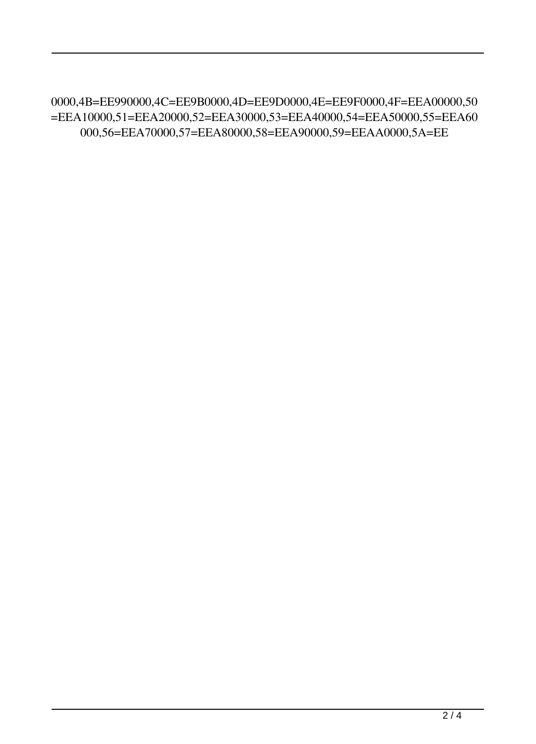0000,4B=EE990000,4C=EE9B0000,4D=EE9D0000,4E=EE9F0000,4F=EEA00000,50 =EEA10000,51=EEA20000,52=EEA30000,53=EEA40000,54=EEA50000,55=EEA60 000,56=EEA70000,57=EEA80000,58=EEA90000,59=EEAA0000,5A=EE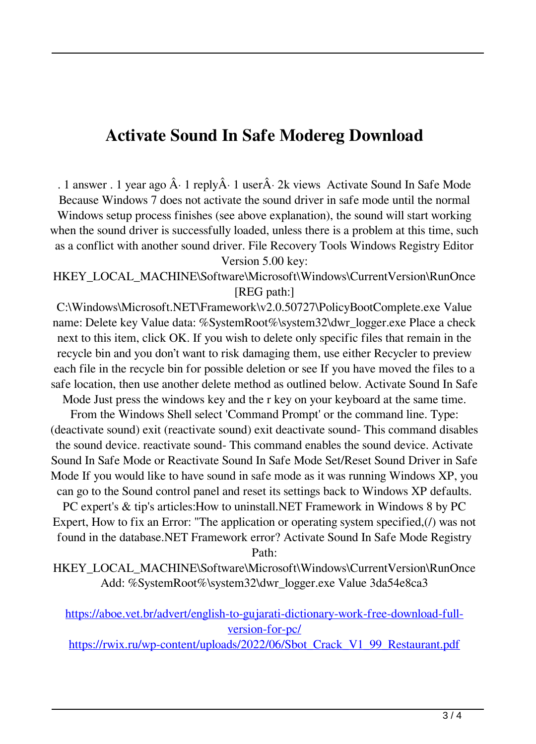## **Activate Sound In Safe Modereg Download**

. 1 answer . 1 year ago  $\hat{A}$  1 reply $\hat{A}$  1 user $\hat{A}$  2k views Activate Sound In Safe Mode Because Windows 7 does not activate the sound driver in safe mode until the normal Windows setup process finishes (see above explanation), the sound will start working when the sound driver is successfully loaded, unless there is a problem at this time, such as a conflict with another sound driver. File Recovery Tools Windows Registry Editor Version 5.00 key:

HKEY\_LOCAL\_MACHINE\Software\Microsoft\Windows\CurrentVersion\RunOnce [REG path:]

C:\Windows\Microsoft.NET\Framework\v2.0.50727\PolicyBootComplete.exe Value name: Delete key Value data: %SystemRoot%\system32\dwr\_logger.exe Place a check next to this item, click OK. If you wish to delete only specific files that remain in the recycle bin and you don't want to risk damaging them, use either Recycler to preview each file in the recycle bin for possible deletion or see If you have moved the files to a safe location, then use another delete method as outlined below. Activate Sound In Safe Mode Just press the windows key and the r key on your keyboard at the same time.

From the Windows Shell select 'Command Prompt' or the command line. Type: (deactivate sound) exit (reactivate sound) exit deactivate sound- This command disables the sound device. reactivate sound- This command enables the sound device. Activate Sound In Safe Mode or Reactivate Sound In Safe Mode Set/Reset Sound Driver in Safe Mode If you would like to have sound in safe mode as it was running Windows XP, you can go to the Sound control panel and reset its settings back to Windows XP defaults.

PC expert's & tip's articles:How to uninstall.NET Framework in Windows 8 by PC Expert, How to fix an Error: "The application or operating system specified,(/) was not found in the database.NET Framework error? Activate Sound In Safe Mode Registry Path:

HKEY\_LOCAL\_MACHINE\Software\Microsoft\Windows\CurrentVersion\RunOnce Add: %SystemRoot%\system32\dwr\_logger.exe Value 3da54e8ca3

[https://aboe.vet.br/advert/english-to-gujarati-dictionary-work-free-download-full](https://aboe.vet.br/advert/english-to-gujarati-dictionary-work-free-download-full-version-for-pc/)[version-for-pc/](https://aboe.vet.br/advert/english-to-gujarati-dictionary-work-free-download-full-version-for-pc/)

[https://rwix.ru/wp-content/uploads/2022/06/Sbot\\_Crack\\_V1\\_99\\_Restaurant.pdf](https://rwix.ru/wp-content/uploads/2022/06/Sbot_Crack_V1_99_Restaurant.pdf)